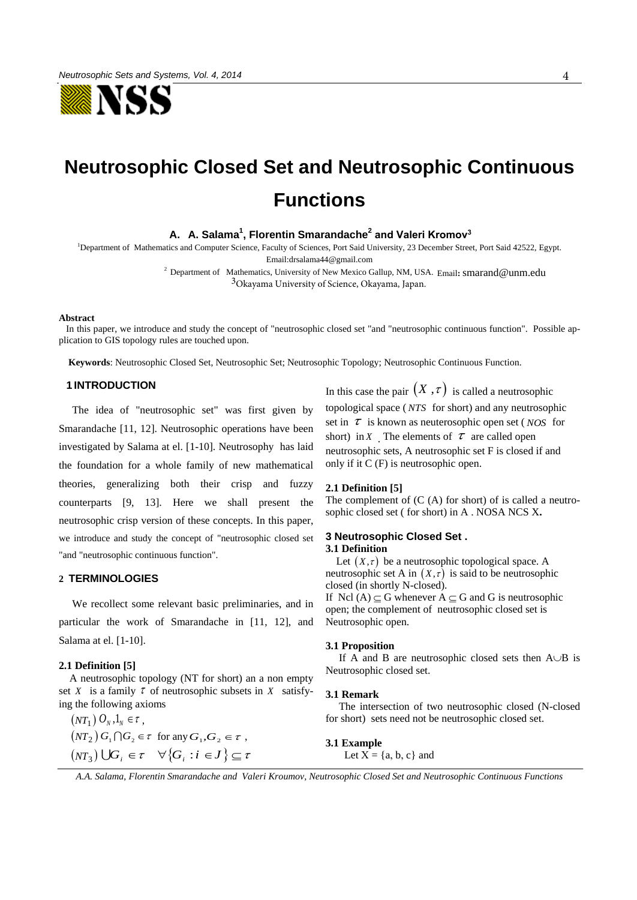

# **Neutrosophic Closed Set and Neutrosophic Continuous Functions**

**A. A. Salama<sup>1</sup> , Florentin Smarandache<sup>2</sup> and Valeri Kromov<sup>3</sup>**

<sup>1</sup>Department of Mathematics and Computer Science, Faculty of Sciences, Port Said University, 23 December Street, Port Said 42522, Egypt. Emai[l:drsalama44@gmail.com](mailto:drsalama44@gmail.com)

> <sup>2</sup> Department of Mathematics, University of New Mexico Gallup, NM, USA. Email**:** smarand@unm.edu 3Ok[ayama University of](mailto:cdyer@unm.edu) [Science, Okayama, Jap](mailto:smarand@unm.edu)an.

#### **Abstract**

 In this paper, we introduce and study the concept of "neutrosophic closed set "and "neutrosophic continuous function". Possible application to GIS topology rules are touched upon.

 **Keywords**: Neutrosophic Closed Set, Neutrosophic Set; Neutrosophic Topology; Neutrosophic Continuous Function.

# **1 INTRODUCTION**

 The idea of "neutrosophic set" was first given by Smarandache [11, 12]. Neutrosophic operations have been investigated by Salama at el. [1-10]. Neutrosophy has laid the foundation for a whole family of new mathematical theories, generalizing both their crisp and fuzzy counterparts [9, 13]. Here we shall present the neutrosophic crisp version of these concepts. In this paper, we introduce and study the concept of "neutrosophic closed set "and "neutrosophic continuous function".

# **2 TERMINOLOGIES**

 We recollect some relevant basic preliminaries, and in particular the work of Smarandache in [11, 12], and Salama at el. [1-10].

## **2.1 Definition [5]**

A neutrosophic topology (NT for short) an a non empty set X is a family  $\tau$  of neutrosophic subsets in X satisfying the following axioms

 $(NT_1) O_N, 1_N \in \tau$ ,  $(NT_2) G_1 \cap G_2 \in \tau$  for any  $G_1, G_2 \in \tau$ ,  $(NT_3) \bigcup G_i \in \tau \quad \forall \{G_i : i \in J\} \subseteq \tau$ 

In this case the pair  $(X, \tau)$  is called a neutrosophic topological space ( *NTS* for short) and any neutrosophic set in  $\tau$  is known as neuterosophic open set (*NOS* for short) in X The elements of  $\tau$  are called open neutrosophic sets, A neutrosophic set F is closed if and only if it C (F) is neutrosophic open.

## **2.1 Definition [5]**

The complement of (C (A) for short) of is called a neutrosophic closed set ( for short) in A . NOSA NCS X**.**

# **3 Neutrosophic Closed Set . 3.1 Definition**

Let  $(X, \tau)$  be a neutrosophic topological space. A neutrosophic set A in  $(X, \tau)$  is said to be neutrosophic closed (in shortly N-closed). If Ncl (A)  $\subseteq$  G whenever A  $\subseteq$  G and G is neutrosophic open; the complement of neutrosophic closed set is Neutrosophic open.

## **3.1 Proposition**

If A and B are neutrosophic closed sets then  $A \cup B$  is Neutrosophic closed set.

#### **3.1 Remark**

 The intersection of two neutrosophic closed (N-closed for short) sets need not be neutrosophic closed set.

**3.1 Example**  Let  $X = \{a, b, c\}$  and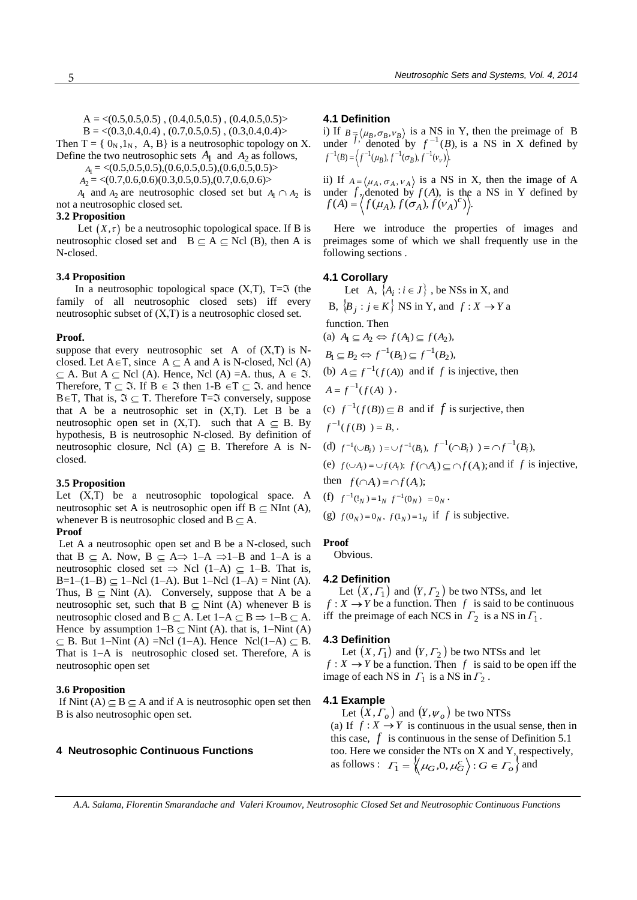$A = \langle (0.5, 0.5, 0.5), (0.4, 0.5, 0.5), (0.4, 0.5, 0.5) \rangle$ 

 $B = \langle (0.3, 0.4, 0.4), (0.7, 0.5, 0.5), (0.3, 0.4, 0.4) \rangle$ 

Then  $T = \{ 0_N, 1_N, A, B \}$  is a neutrosophic topology on X. Define the two neutrosophic sets  $A_1$  and  $A_2$  as follows,

 $A_1 = \langle (0.5, 0.5, 0.5), (0.6, 0.5, 0.5), (0.6, 0.5, 0.5) \rangle$ 

 $A_2 = \langle (0.7, 0.6, 0.6)(0.3, 0.5, 0.5), (0.7, 0.6, 0.6) \rangle$ 

not a neutrosophic closed set.  $A_1$  and  $A_2$  are neutrosophic closed set but  $A_1 \cap A_2$  is

## **3.2 Proposition**

Let  $(X, \tau)$  be a neutrosophic topological space. If B is neutrosophic closed set and  $B \subseteq A \subseteq Ncl$  (B), then A is N-closed.

## **3.4 Proposition**

In a neutrosophic topological space  $(X,T)$ ,  $T=\mathfrak{I}$  (the family of all neutrosophic closed sets) iff every neutrosophic subset of  $(X, T)$  is a neutrosophic closed set.

### **Proof.**

suppose that every neutrosophic set A of  $(X,T)$  is Nclosed. Let  $A \in T$ , since  $A \subseteq A$  and A is N-closed, Ncl (A)  $\subseteq$  A. But A  $\subseteq$  Ncl (A). Hence, Ncl (A) =A. thus, A  $\in$  3. Therefore,  $T \subseteq \mathfrak{I}$ . If  $B \in \mathfrak{I}$  then 1-B  $\in T \subseteq \mathfrak{I}$ . and hence  $B \in T$ , That is,  $\Im \subset T$ . Therefore T= $\Im$  conversely, suppose that A be a neutrosophic set in  $(X,T)$ . Let B be a neutrosophic open set in  $(X,T)$ . such that  $A \subseteq B$ . By hypothesis, B is neutrosophic N-closed. By definition of neutrosophic closure, Ncl (A)  $\subseteq$  B. Therefore A is Nclosed.

## **3.5 Proposition**

Let  $(X,T)$  be a neutrosophic topological space. A neutrosophic set A is neutrosophic open iff  $B \subseteq NInt(A)$ , whenever B is neutrosophic closed and  $B \subseteq A$ .

## **Proof**

 Let A a neutrosophic open set and B be a N-closed, such that  $B \subset A$ . Now,  $B \subset A \Rightarrow 1-A \Rightarrow 1-B$  and  $1-A$  is a neutrosophic closed set  $\Rightarrow$  Ncl (1-A)  $\subseteq$  1-B. That is,  $B=1-(1-B) \subseteq 1-Nc1$  (1-A). But 1-Ncl (1-A) = Nint (A). Thus,  $B \subseteq$  Nint (A). Conversely, suppose that A be a neutrosophic set, such that  $B \subseteq$  Nint (A) whenever B is neutrosophic closed and  $B \subseteq A$ . Let  $1-A \subseteq B \Rightarrow 1-B \subseteq A$ . Hence by assumption  $1-B \subseteq Nint (A)$ . that is, 1–Nint (A)  $\subseteq$  B. But 1–Nint (A) =Ncl (1–A). Hence Ncl(1–A)  $\subseteq$  B. That is  $1-A$  is neutrosophic closed set. Therefore, A is neutrosophic open set

## **3.6 Proposition**

If Nint  $(A) \subset B \subset A$  and if A is neutrosophic open set then B is also neutrosophic open set.

## **4 Neutrosophic Continuous Functions**

### **4.1 Definition**

i) If  $B = \langle \mu_B, \sigma_B, \nu_B \rangle$  is a NS in Y, then the preimage of B under  $f'$ , denoted by  $f^{-1}(B)$ , is a NS in X defined by  $f^{-1}(B) = \left\langle f^{-1}(\mu_B), f^{-1}(\sigma_B), f^{-1}(\nu_{\nu}) \right\rangle$ 

ii) If  $A = \langle \mu_A, \sigma_A, \nu_A \rangle$  is a NS in X, then the image of A under  $f$ , denoted by  $f(A)$ , is the a NS in Y defined by  $f(A) = \langle f(\mu_A), f(\sigma_A), f(\nu_A)^c) \rangle.$ 

 Here we introduce the properties of images and preimages some of which we shall frequently use in the following sections .

# **4.1 Corollary**

Let A,  $\{A_i : i \in J\}$ , be NSs in X, and B,  $\{B_j : j \in K\}$  NS in Y, and  $f: X \to Y$  a function. Then (a)  $A_1 \subseteq A_2 \Leftrightarrow f(A_1) \subseteq f(A_2)$ ,  $B_1 \subseteq B_2 \Leftrightarrow f^{-1}(B_1) \subseteq f^{-1}(B_2),$ (b)  $A \subseteq f^{-1}(f(A))$  and if f is injective, then  $A = f^{-1}(f(A))$ . (c)  $f^{-1}(f(B)) \subseteq B$  and if f is surjective, then

$$
f^{-1}(f(B)) = B
$$
,

(d) 
$$
f^{-1}(\cup B_i) = \cup f^{-1}(B_i), \ f^{-1}(\cap B_i) = \cap f^{-1}(B_i),
$$

(e)  $f(\cup A_i) = \cup f(A_i)$ ;  $f(\cap A_i) \subseteq \cap f(A_i)$ ; and if f is injective, then  $f(\bigcap A_i) = \bigcap f(A_i);$ 

(f) 
$$
f^{-1}(!_N) = 1_N f^{-1}(0_N) = 0_N
$$
.

(g)  $f(0_N) = 0_N$ ,  $f(1_N) = 1_N$  if *f* is subjective.

## **Proof**

Obvious.

## **4.2 Definition**

Let  $(X, \Gamma_1)$  and  $(Y, \Gamma_2)$  be two NTSs, and let  $f: X \to Y$  be a function. Then f is said to be continuous iff the preimage of each NCS in  $\Gamma_2$  is a NS in  $\Gamma_1$ .

## **4.3 Definition**

Let  $(X, \Gamma_1)$  and  $(Y, \Gamma_2)$  be two NTSs and let  $f: X \to Y$  be a function. Then f is said to be open iff the image of each NS in  $\Gamma_1$  is a NS in  $\Gamma_2$ .

## **4.1 Example**

Let  $(X, \Gamma_o)$  and  $(Y, \psi_o)$  be two NTSs (a) If  $f: X \to Y$  is continuous in the usual sense, then in this case,  $f$  is continuous in the sense of Definition 5.1 too. Here we consider the NTs on X and Y, respectively, as follows :  $\Gamma_1 = \left\{ \mu_G, 0, \mu_G^c \right\} : G \in \Gamma_o \right\}$  and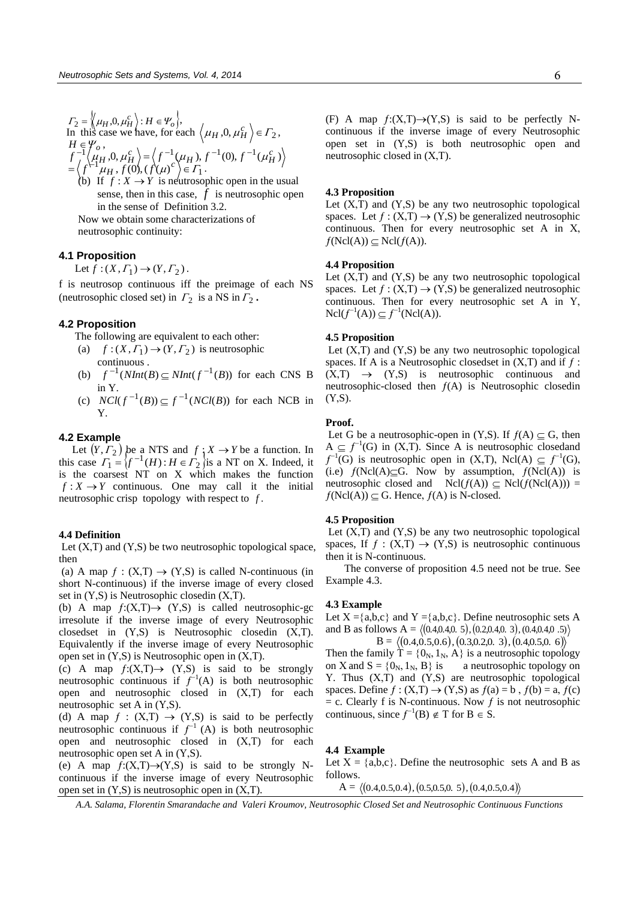$$
F_2 = \left\langle \mu_H, 0, \mu_H^c \right\rangle : H \in \mathcal{V}_o \left\},
$$
  
In this case we have, for each  $\left\langle \mu_H, 0, \mu_H^c \right\rangle \in F_2$ ,  

$$
H \in \mathcal{V}_o,
$$
  

$$
f^{-1}(\mu_H, 0, \mu_H^c) = \left\langle f^{-1}(\mu_H), f^{-1}(0), f^{-1}(\mu_H^c) \right\rangle
$$
  

$$
= \left\langle f^{-1} \mu_H, f(0), (f(\mu)^c) \right\rangle \in F_1.
$$

(b) If  $f: X \to Y$  is neutrosophic open in the usual sense, then in this case,  $f$  is neutrosophic open in the sense of Definition 3.2. Now we obtain some characterizations of

neutrosophic continuity:

# **4.1 Proposition**

Let  $f:(X,\Gamma_1)\to (Y,\Gamma_2)$ .

f is neutrosop continuous iff the preimage of each NS (neutrosophic closed set) in  $\Gamma_2$  is a NS in  $\Gamma_2$ .

# **4.2 Proposition**

- The following are equivalent to each other:
- (a)  $f:(X, \Gamma_1) \to (Y, \Gamma_2)$  is neutrosophic continuous .
- (b)  $f^{-1}(NInt(B) \subseteq NInt(f^{-1}(B))$  for each CNS B in Y.
- (c)  $NCl(f^{-1}(B)) \subseteq f^{-1}(NCl(B))$  for each NCB in Y.

# **4.2 Example**

Let  $(Y, \Gamma_2)$  be a NTS and  $f \nvert Y \to Y$  be a function. In this case  $T_1 = \{f^{-1}(H) : H \in \Gamma_2\}$  is a NT on X. Indeed, it is the coarsest NT on X which makes the function  $f: X \to Y$  continuous. One may call it the initial neutrosophic crisp topology with respect to *f* .

## **4.4 Definition**

Let  $(X,T)$  and  $(Y,S)$  be two neutrosophic topological space, then

(a) A map  $f : (X,T) \to (Y,S)$  is called N-continuous (in short N-continuous) if the inverse image of every closed set in  $(Y, S)$  is Neutrosophic closedin  $(X, T)$ .

(b) A map  $f:(X,T) \rightarrow (Y,S)$  is called neutrosophic-gc irresolute if the inverse image of every Neutrosophic closedset in  $(Y, S)$  is Neutrosophic closedin  $(X, T)$ . Equivalently if the inverse image of every Neutrosophic open set in  $(Y, S)$  is Neutrosophic open in  $(X, T)$ .

(c) A map  $f:(X,T) \rightarrow (Y,S)$  is said to be strongly neutrosophic continuous if  $f^{-1}(A)$  is both neutrosophic open and neutrosophic closed in  $(X,T)$  for each neutrosophic set A in  $(Y, S)$ .

(d) A map  $f : (X,T) \rightarrow (Y,S)$  is said to be perfectly neutrosophic continuous if  $f^{-1}(A)$  is both neutrosophic open and neutrosophic closed in  $(X,T)$  for each neutrosophic open set A in  $(Y, S)$ .

(e) A map  $f:(X,T) \rightarrow (Y,S)$  is said to be strongly Ncontinuous if the inverse image of every Neutrosophic open set in  $(Y, S)$  is neutrosophic open in  $(X, T)$ .

(F) A map  $f:(X,T) \rightarrow (Y,S)$  is said to be perfectly Ncontinuous if the inverse image of every Neutrosophic open set in  $(Y, S)$  is both neutrosophic open and neutrosophic closed in  $(X, T)$ .

## **4.3 Proposition**

Let  $(X,T)$  and  $(Y,S)$  be any two neutrosophic topological spaces. Let  $f : (X,T) \to (Y,S)$  be generalized neutrosophic continuous. Then for every neutrosophic set A in  $X$ ,  $f(Ncl(A)) \subseteq Ncl(f(A)).$ 

# **4.4 Proposition**

Let  $(X,\overline{I})$  and  $(Y,S)$  be any two neutrosophic topological spaces. Let  $f : (X,T) \to (Y,S)$  be generalized neutrosophic continuous. Then for every neutrosophic set  $A$  in  $Y$ ,  $Ncl(f^{-1}(A)) \subseteq f^{-1}(Ncl(A)).$ 

## **4.5 Proposition**

Let  $(X,T)$  and  $(Y,S)$  be any two neutrosophic topological spaces. If A is a Neutrosophic closedset in  $(X, T)$  and if  $f$ :  $(X,T) \rightarrow (Y,S)$  is neutrosophic continuous and neutrosophic-closed then  $f(A)$  is Neutrosophic closedin  $(Y, S)$ .

# **Proof.**

Let G be a neutrosophic-open in  $(Y, S)$ . If  $f(A) \subset G$ , then  $A \subseteq f^{-1}(G)$  in  $(X,T)$ . Since A is neutrosophic closedand  $f^{-1}(G)$  is neutrosophic open in  $(X,T)$ , Ncl(A)  $\subseteq f^{-1}(G)$ , (i.e)  $f(Ncl(A)) \subseteq G$ . Now by assumption,  $f(Ncl(A))$  is neutrosophic closed and  $Ncl(f(A)) \subseteq Ncl(f(Ncl(A))) =$  $f(Ncl(A)) \subseteq G$ . Hence,  $f(A)$  is N-closed.

## **4.5 Proposition**

Let  $(X,T)$  and  $(Y,S)$  be any two neutrosophic topological spaces, If  $f : (X,T) \to (Y,S)$  is neutrosophic continuous then it is N-continuous.

 The converse of proposition 4.5 need not be true. See Example 4.3.

## **4.3 Example**

Let  $X = \{a,b,c\}$  and  $Y = \{a,b,c\}$ . Define neutrosophic sets A and B as follows  $A = \langle (0.4,0.4,0.5), (0.2,0.4,0.3), (0.4,0.4,0.5) \rangle$ and B as follows A =  $\langle (0.4, 0.4, 0.5), (0.2, 0.4, 0.3), (0.4, 0.4, 0.5) \rangle$ s follows  $A = \langle (0.4, 0.4, 0.5), (0.2, 0.4, 0.3), (0.4, 0.4, 0.5) \rangle$ <br>B =  $\langle (0.4, 0.5, 0.6), (0.3, 0.2, 0.3), (0.4, 0.5, 0.6) \rangle$ 

Then the family  $T = \{0_N, 1_N, A\}$  is a neutrosophic topology on X and  $S = \{0_N, 1_N, B\}$  is a neutrosophic topology on Y. Thus  $(X,T)$  and  $(Y,S)$  are neutrosophic topological spaces. Define  $f : (X,T) \to (Y,S)$  as  $f(a) = b$ ,  $f(b) = a$ ,  $f(c)$  $= c$ . Clearly f is N-continuous. Now f is not neutrosophic continuous, since  $f^{-1}(B) \notin T$  for  $B \in S$ .

# **4.4 Example**

Let  $X = \{a,b,c\}$ . Define the neutrosophic sets A and B as follows. A = 4.0,5.0,4.0 , 50.5,0.5,0. , 4.0,5.0,4.0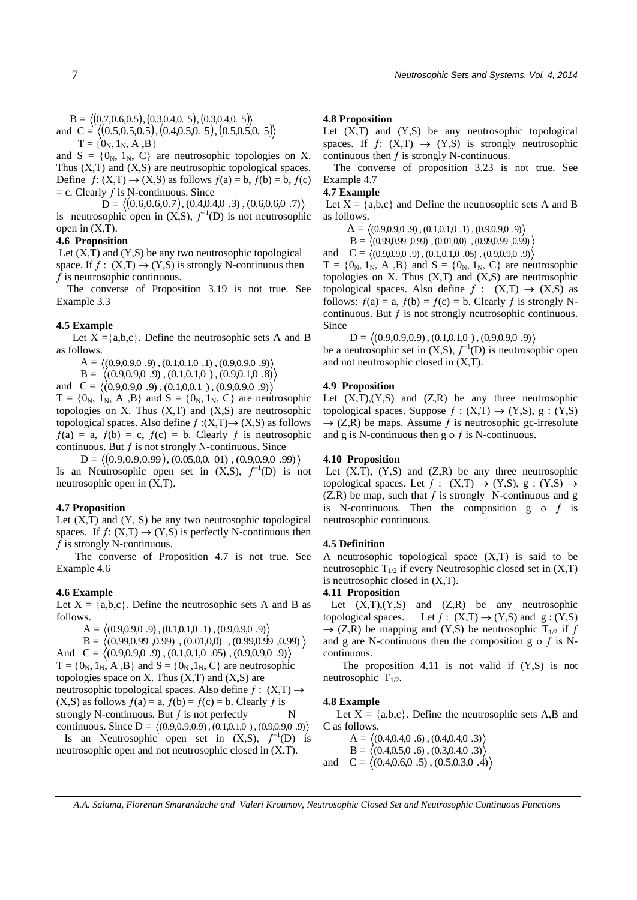$B = \langle (0.7, 0.6, 0.5), (0.3, 0.4, 0.5), (0.3, 0.4, 0.5) \rangle$ B =  $\langle (0.7, 0.6, 0.5), (0.3, 0.4, 0.5), (0.3, 0.4, 0.5) \rangle$ <br>and C =  $\langle (0.5, 0.5, 0.5), (0.4, 0.5, 0.5), (0.5, 0.5, 0.5) \rangle$ 

 $T = \{0_N, 1_N, A, B\}$ 

and  $S = \{0_N, 1_N, C\}$  are neutrosophic topologies on X. Thus  $(X, T)$  and  $(X, S)$  are neutrosophic topological spaces. Define  $f: (X,T) \to (X,S)$  as follows  $f(a) = b$ ,  $f(b) = b$ ,  $f(c)$  $=$  c. Clearly  $f$  is N-continuous. Since  $(X, 1) \rightarrow (X, S)$  as follows  $f(a) = b$ ,  $f(b) = b$ ,  $f$ <br>y  $f$  is N-continuous. Since<br>D =  $\langle (0.6, 0.6, 0.7), (0.4, 0.4, 0.3), (0.6, 0.6, 0.7) \rangle$ 

is neutrosophic open in  $(X, S)$ ,  $f^{-1}(D)$  is not neutrosophic open in  $(X,T)$ .

## **4.6 Proposition**

Let  $(X, T)$  and  $(Y, S)$  be any two neutrosophic topological space. If  $f: (X,T) \rightarrow (Y,S)$  is strongly N-continuous then  $f$  is neutrosophic continuous.

 The converse of Proposition 3.19 is not true. See Example 3.3

## **4.5 Example**

Let  $X = \{a,b,c\}$ . Define the neutrosophic sets A and B as follows.

 $A = \langle (0.9,0.9,0.9), (0.1,0.1,0.1), (0.9,0.9,0.9) \rangle$ 

 $B = \langle (0.9,0.9,0.9,0.9), (0.1,0.1,0), (0.9,0.1,0.8) \rangle$ 

and  $C = \langle (0.9,0.9,0.9), (0.1,0,0.1), (0.9,0.9,0.9) \rangle$  $T = \{0_N, 1_N, A, B\}$  and  $S = \{0_N, 1_N, C\}$  are neutrosophic topologies on  $X$ . Thus  $(X,T)$  and  $(X,S)$  are neutrosophic topological spaces. Also define  $f:(X,T) \rightarrow (X,S)$  as follows

 $f(a) = a$ ,  $f(b) = c$ ,  $f(c) = b$ . Clearly f is neutrosophic continuous. But  $f$  is not strongly N-continuous. Since = a,  $f(b) = c$ ,  $f(c) = b$ . Clearly  $f$  is neutroson<br>nuous. But  $f$  is not strongly N-continuous. Since<br> $D = \langle (0.9, 0.9, 0.99), (0.05, 0, 0.01), (0.9, 0.9, 0.99) \rangle$ 

Is an Neutrosophic open set in  $(X, S)$ ,  $f^{-1}(D)$  is not neutrosophic open in  $(X, T)$ .

# **4.7 Proposition**

Let  $(X,\overline{T})$  and  $(Y, S)$  be any two neutrosophic topological spaces. If  $f: (X,T) \to (Y,S)$  is perfectly N-continuous then  $f$  is strongly N-continuous.

 The converse of Proposition 4.7 is not true. See Example 4.6

## **4.6 Example**

Let  $X = \{a,b,c\}$ . Define the neutrosophic sets A and B as follows.

 $A = \langle (0.9,0.9,0.9), (0.1,0.1,0.1), (0.9,0.9,0.9) \rangle$  $B = \langle (0.99, 0.99, 0.99), (0.01, 0, 0), (0.99, 0.99, 0.99)$ And  $C = \langle (0.9,0.9,0.9), (0.1,0.1,0.05), (0.9,0.9,0.9,0.9),$  $T = \{0_N, 1_N, A, B\}$  and  $S = \{0_N, 1_N, C\}$  are neutrosophic topologies space on X. Thus  $(X, T)$  and  $(X, S)$  are neutrosophic topological spaces. Also define  $f : (X,T) \rightarrow$  $(X, S)$  as follows  $f(a) = a$ ,  $f(b) = f(c) = b$ . Clearly f is

strongly N-continuous. But  $f$  is not perfectly

continuous. Since D = .9)(0.9,0.9,0 , )(0.1,0.1,0 , )9.0,9.0,9.0( Is an Neutrosophic open set in  $(X, S)$ ,  $f^{-1}(D)$  is neutrosophic open and not neutrosophic closed in  $(X, T)$ .

## **4.8 Proposition**

Let  $(X,T)$  and  $(Y,S)$  be any neutrosophic topological spaces. If  $f: (X,T) \rightarrow (Y,S)$  is strongly neutrosophic continuous then  $f$  is strongly N-continuous.

 The converse of proposition 3.23 is not true. See Example 4.7

## **4.7 Example**

Let  $X = \{a,b,c\}$  and Define the neutrosophic sets A and B as follows.

 $\mathrm{A} = \langle (0.9, 0.9, 0.9), (0.1, 0.1, 0.1), (0.9, 0.9, 0.9) \rangle$ 

 $\mathrm{B} = \langle (0.99, 0.99, 0.99), (0.01, 0, 0), (0.99, 0.99, 0.99) \rangle$ 

and  $C = \langle (0.9,0.9,0.9), (0.1,0.1,0.05), (0.9,0.9,0.9,0.9),$ 

 $T = \{0_N, 1_N, A, B\}$  and  $S = \{0_N, 1_N, C\}$  are neutrosophic topologies on  $X$ . Thus  $(X,T)$  and  $(X,S)$  are neutrosophic topological spaces. Also define  $f: (X,T) \rightarrow (X,S)$  as follows:  $f(a) = a$ ,  $f(b) = f(c) = b$ . Clearly f is strongly Ncontinuous. But  $f$  is not strongly neutrosophic continuous. Since

D = .9)(0.9,0.9,0 , )(0.1,0.1,0 , )9.0,9.0,9.0(

be a neutrosophic set in  $(X, S)$ ,  $f^{-1}(D)$  is neutrosophic open and not neutrosophic closed in  $(X,T)$ .

### **4.9 Proposition**

Let  $(X, T), (Y, S)$  and  $(Z, R)$  be any three neutrosophic topological spaces. Suppose  $f : (X,T) \to (Y,S), g : (Y,S)$  $\rightarrow$  (Z,R) be maps. Assume f is neutrosophic gc-irresolute and g is N-continuous then g  $\circ$  f is N-continuous.

#### **4.10 Proposition**

Let  $(X,T)$ ,  $(Y,S)$  and  $(Z,R)$  be any three neutrosophic topological spaces. Let  $f : (X,T) \to (Y,S), g : (Y,S) \to$  $(Z,R)$  be map, such that f is strongly N-continuous and g is N-continuous. Then the composition  $g \circ f$  is neutrosophic continuous.

# **4.5 Definition**

A neutrosophic topological space  $(X,T)$  is said to be neutrosophic  $T_{1/2}$  if every Neutrosophic closed set in  $(X,T)$ is neutrosophic closed in  $(X,T)$ .

## **4.11 Proposition**

Let  $(X,T),(Y,S)$  and  $(Z,R)$  be any neutrosophic topological spaces. Let  $f : (X,T) \to (Y,S)$  and  $g : (Y,S)$  $\rightarrow$  (Z,R) be mapping and (Y,S) be neutrosophic T<sub>1/2</sub> if f and g are N-continuous then the composition g  $\circ$  f is Ncontinuous.

The proposition 4.11 is not valid if  $(Y, S)$  is not neutrosophic  $T_{1/2}$ .

## **4.8 Example**

Let  $X = \{a,b,c\}$ . Define the neutrosophic sets A,B and C as follows.

 $A = \langle (0.4,0.4,0.6), (0.4,0.4,0.3) \rangle$  $B = \langle (0.4, 0.5, 0.6), (0.3, 0.4, 0.3) \rangle$ and  $C = \langle (0.4, 0.6, 0.5), (0.5, 0.3, 0.4) \rangle$